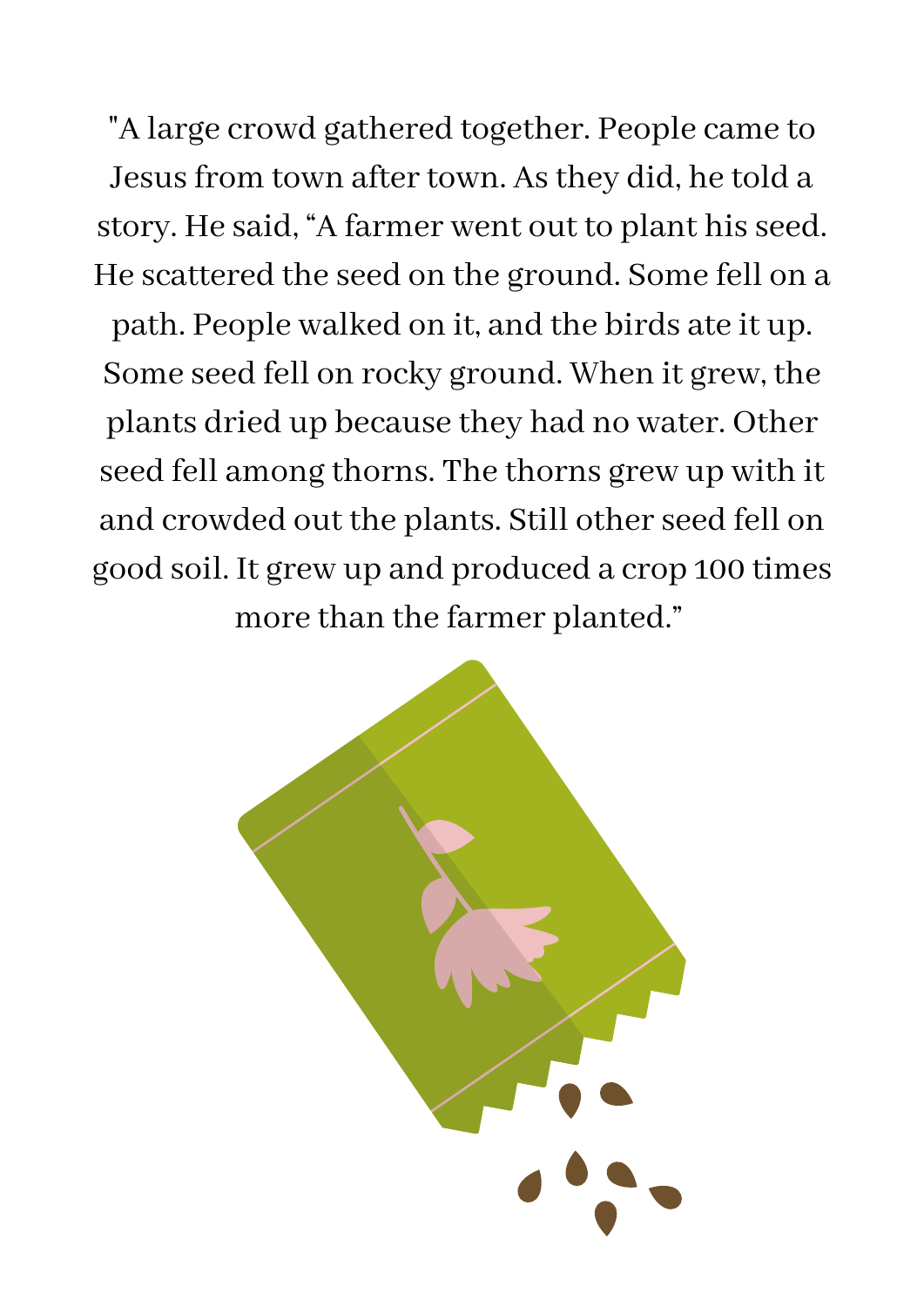"A large crowd gathered together. People came to Jesus from town after town. As they did, he told a story. He said, "A farmer went out to plant hisseed. He scattered the seed on the ground. Some fell on a path. People walked on it, and the birds ate it up. Some seed fell on rocky ground. When it grew, the plants dried up because they had no water. Other seed fell among thorns. The thorns grew up with it and crowded out the plants. Still other seed fell on good soil. It grew up and produced a crop 100 times more than the farmer planted."

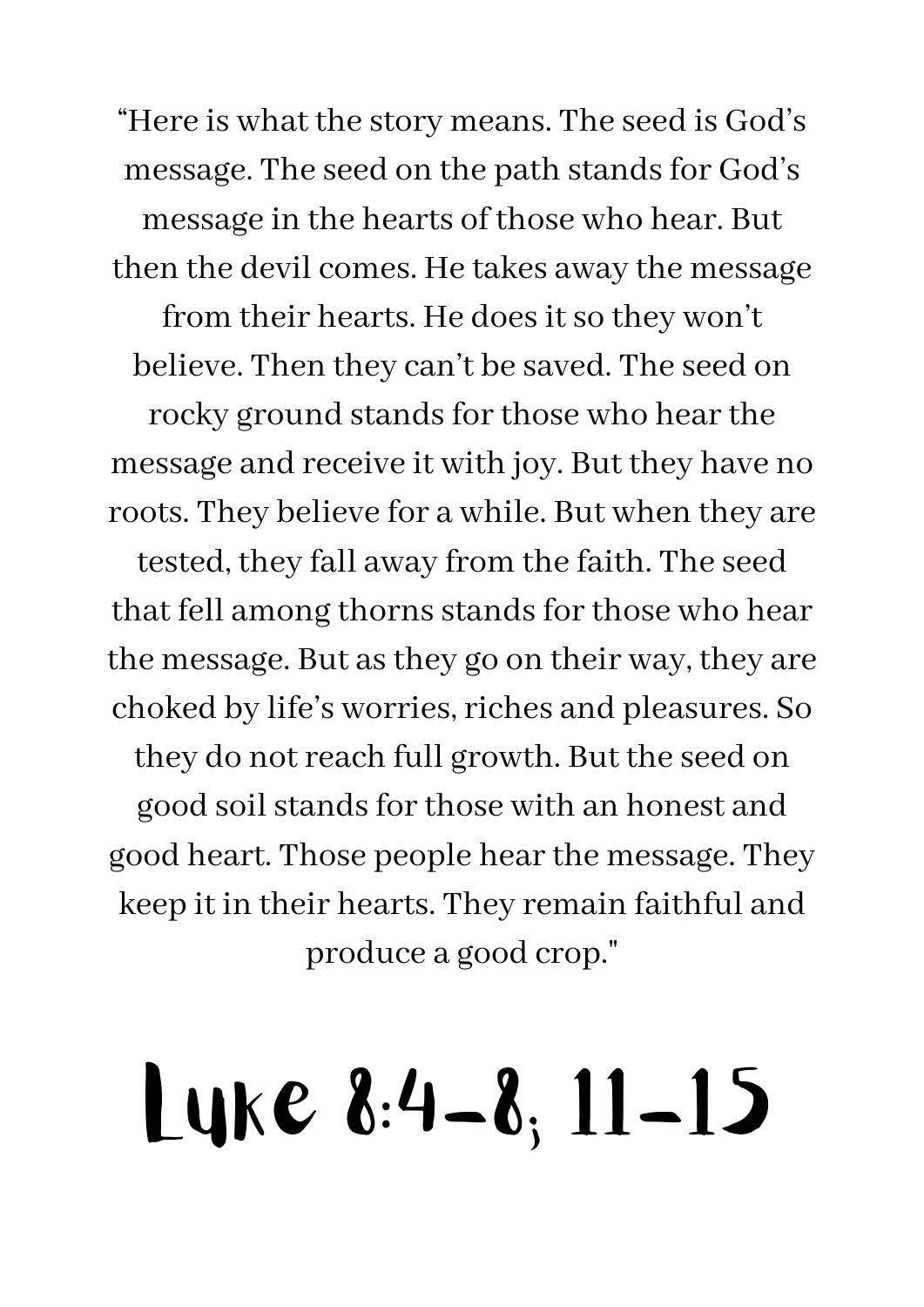"Here is what the story means. The seed is God' s message. The seed on the path stands for God's message in the hearts of those who hear. But then the devil comes. He takes away the message from their hearts. He does it so they won't believe. Then they can 't be saved. The seed on rocky ground stands for those who hear the message and receive it with joy. But they have no roots. They believe for a while. But when they are tested, they fall away from the faith. The seed that fell among thorns stands for those who hear the message. But as they go on their way, they are choked by life ' s worries,riches and pleasures. So they do notreach full growth. But the seed on good soil stands for those with an honest and good heart. Those people hear the message. They keep it in their hearts. They remain faithful and produce a good crop."

## Luke 8:4-8; 11-15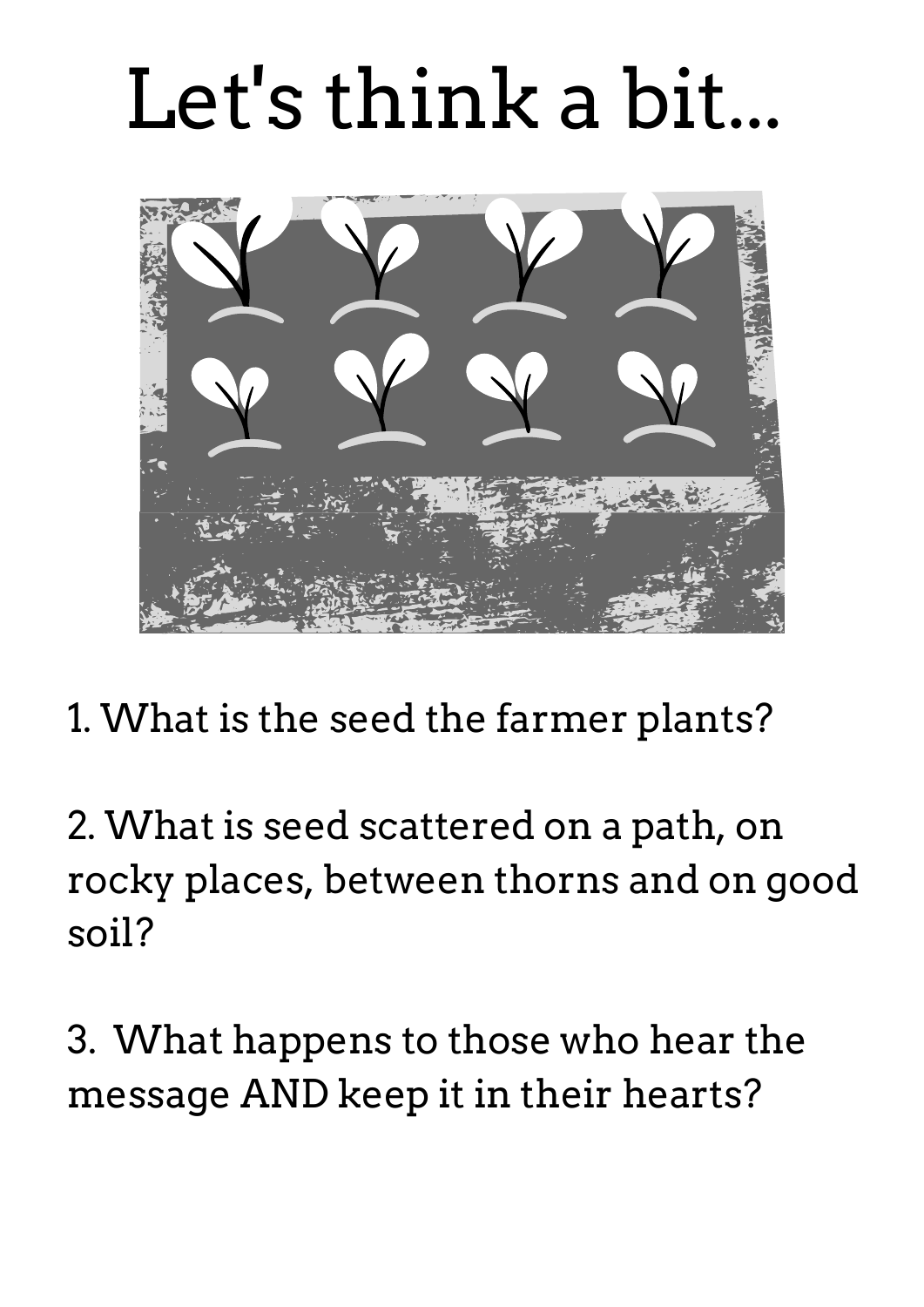## Let's think a bit...



1. What is the seed the farmer plants?

2. What is seed scattered on a path, on rocky places, between thorns and on good soil?

3. What happens to those who hear the message AND keep it in their hearts?